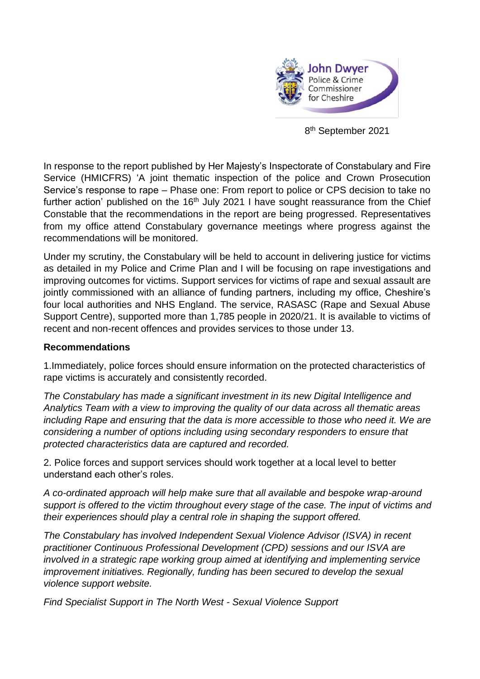

8 th September 2021

In response to the report published by Her Majesty's Inspectorate of Constabulary and Fire Service (HMICFRS) 'A joint thematic inspection of the police and Crown Prosecution Service's response to rape – Phase one: From report to police or CPS decision to take no further action' published on the  $16<sup>th</sup>$  July 2021 I have sought reassurance from the Chief Constable that the recommendations in the report are being progressed. Representatives from my office attend Constabulary governance meetings where progress against the recommendations will be monitored.

Under my scrutiny, the Constabulary will be held to account in delivering justice for victims as detailed in my Police and Crime Plan and I will be focusing on rape investigations and improving outcomes for victims. Support services for victims of rape and sexual assault are jointly commissioned with an alliance of funding partners, including my office, Cheshire's four local authorities and NHS England. The service, RASASC (Rape and Sexual Abuse Support Centre), supported more than 1,785 people in 2020/21. It is available to victims of recent and non-recent offences and provides services to those under 13.

## **Recommendations**

1.Immediately, police forces should ensure information on the protected characteristics of rape victims is accurately and consistently recorded.

*The Constabulary has made a significant investment in its new Digital Intelligence and Analytics Team with a view to improving the quality of our data across all thematic areas including Rape and ensuring that the data is more accessible to those who need it. We are considering a number of options including using secondary responders to ensure that protected characteristics data are captured and recorded.*

2. Police forces and support services should work together at a local level to better understand each other's roles.

*A co-ordinated approach will help make sure that all available and bespoke wrap-around support is offered to the victim throughout every stage of the case. The input of victims and their experiences should play a central role in shaping the support offered.*

*The Constabulary has involved Independent Sexual Violence Advisor (ISVA) in recent practitioner Continuous Professional Development (CPD) sessions and our ISVA are involved in a strategic rape working group aimed at identifying and implementing service improvement initiatives. Regionally, funding has been secured to develop the sexual violence support website.* 

*Find Specialist Support in The North West - Sexual Violence Support*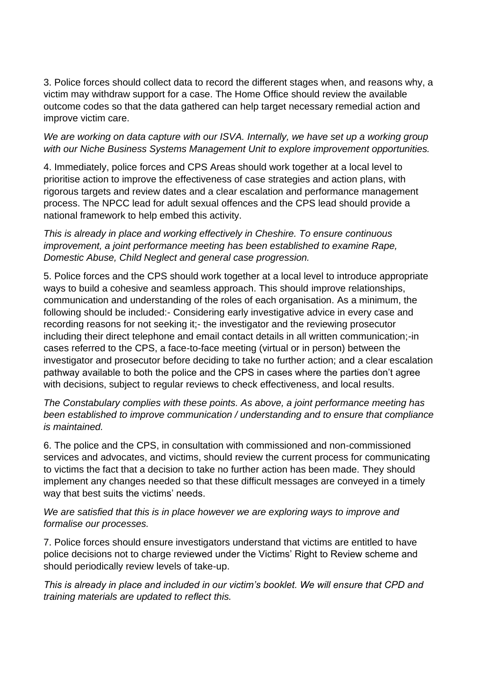3. Police forces should collect data to record the different stages when, and reasons why, a victim may withdraw support for a case. The Home Office should review the available outcome codes so that the data gathered can help target necessary remedial action and improve victim care.

*We are working on data capture with our ISVA. Internally, we have set up a working group with our Niche Business Systems Management Unit to explore improvement opportunities.*

4. Immediately, police forces and CPS Areas should work together at a local level to prioritise action to improve the effectiveness of case strategies and action plans, with rigorous targets and review dates and a clear escalation and performance management process. The NPCC lead for adult sexual offences and the CPS lead should provide a national framework to help embed this activity.

*This is already in place and working effectively in Cheshire. To ensure continuous improvement, a joint performance meeting has been established to examine Rape, Domestic Abuse, Child Neglect and general case progression.*

5. Police forces and the CPS should work together at a local level to introduce appropriate ways to build a cohesive and seamless approach. This should improve relationships, communication and understanding of the roles of each organisation. As a minimum, the following should be included:- Considering early investigative advice in every case and recording reasons for not seeking it;- the investigator and the reviewing prosecutor including their direct telephone and email contact details in all written communication;-in cases referred to the CPS, a face-to-face meeting (virtual or in person) between the investigator and prosecutor before deciding to take no further action; and a clear escalation pathway available to both the police and the CPS in cases where the parties don't agree with decisions, subject to regular reviews to check effectiveness, and local results.

*The Constabulary complies with these points. As above, a joint performance meeting has been established to improve communication / understanding and to ensure that compliance is maintained.*

6. The police and the CPS, in consultation with commissioned and non-commissioned services and advocates, and victims, should review the current process for communicating to victims the fact that a decision to take no further action has been made. They should implement any changes needed so that these difficult messages are conveyed in a timely way that best suits the victims' needs.

*We are satisfied that this is in place however we are exploring ways to improve and formalise our processes.*

7. Police forces should ensure investigators understand that victims are entitled to have police decisions not to charge reviewed under the Victims' Right to Review scheme and should periodically review levels of take-up.

*This is already in place and included in our victim's booklet. We will ensure that CPD and training materials are updated to reflect this.*